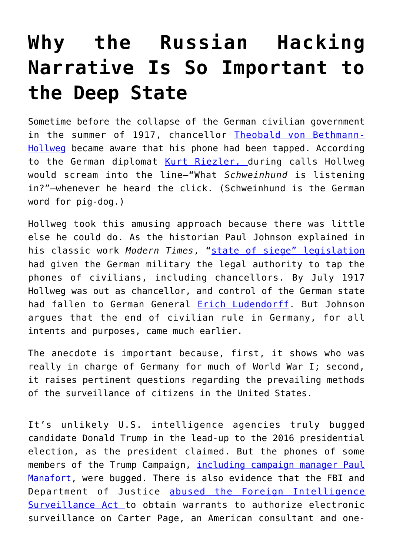## **[Why the Russian Hacking](https://intellectualtakeout.org/2018/07/why-the-russian-hacking-narrative-is-so-important-to-the-deep-state/) [Narrative Is So Important to](https://intellectualtakeout.org/2018/07/why-the-russian-hacking-narrative-is-so-important-to-the-deep-state/) [the Deep State](https://intellectualtakeout.org/2018/07/why-the-russian-hacking-narrative-is-so-important-to-the-deep-state/)**

Sometime before the collapse of the German civilian government in the summer of 1917, chancellor [Theobald von Bethmann-](https://en.wikipedia.org/wiki/Theobald_von_Bethmann-Hollweg)[Hollweg](https://en.wikipedia.org/wiki/Theobald_von_Bethmann-Hollweg) became aware that his phone had been tapped. According to the German diplomat [Kurt Riezler, d](https://en.wikipedia.org/wiki/Kurt_Riezler)uring calls Hollweg would scream into the line—"What *Schweinhund* is listening in?"—whenever he heard the click. (Schweinhund is the German word for pig-dog.)

Hollweg took this amusing approach because there was little else he could do. As the historian Paul Johnson explained in his classic work *Modern Times*, "[state of siege" legislation](https://encyclopedia.1914-1918-online.net/article/martial_law) had given the German military the legal authority to tap the phones of civilians, including chancellors. By July 1917 Hollweg was out as chancellor, and control of the German state had fallen to German General [Erich Ludendorff](https://www.history.com/topics/world-war-i/erich-ludendorff). But Johnson argues that the end of civilian rule in Germany, for all intents and purposes, came much earlier.

The anecdote is important because, first, it shows who was really in charge of Germany for much of World War I; second, it raises pertinent questions regarding the prevailing methods of the surveillance of citizens in the United States.

It's unlikely U.S. intelligence agencies truly bugged candidate Donald Trump in the lead-up to the 2016 presidential election, as the president claimed. But the phones of some members of the Trump Campaign, [including campaign manager Paul](https://www.standard.co.uk/news/world/fbi-agents-bugged-phones-of-donald-trumps-excampaign-chief-paul-manafort-a3637911.html) [Manafort](https://www.standard.co.uk/news/world/fbi-agents-bugged-phones-of-donald-trumps-excampaign-chief-paul-manafort-a3637911.html), were bugged. There is also evidence that the FBI and Department of Justice [abused the Foreign Intelligence](https://www.theatlantic.com/politics/archive/2018/02/read-the-full-text-of-the-nunes-memo/552191/) [Surveillance Act t](https://www.theatlantic.com/politics/archive/2018/02/read-the-full-text-of-the-nunes-memo/552191/)o obtain warrants to authorize electronic surveillance on Carter Page, an American consultant and one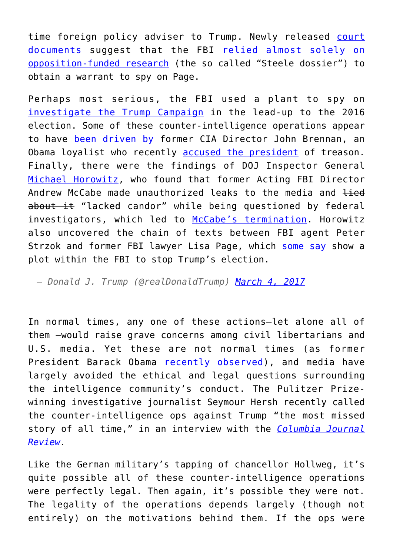time foreign policy adviser to Trump. Newly released [court](https://www.cnn.com/2018/07/22/politics/read-carter-page-fisa-documents/index.html) [documents](https://www.cnn.com/2018/07/22/politics/read-carter-page-fisa-documents/index.html) suggest that the FBI [relied almost solely on](https://www.nationalreview.com/2018/07/carter-page-fisa-applications-fbi-steele-dossier/) [opposition-funded research](https://www.nationalreview.com/2018/07/carter-page-fisa-applications-fbi-steele-dossier/) (the so called "Steele dossier") to obtain a warrant to spy on Page.

Perhaps most serious, the FBI used a plant to spy on [investigate the Trump Campaign](https://www.nytimes.com/2018/05/18/us/politics/trump-fbi-informant-russia-investigation.html) in the lead-up to the 2016 election. Some of these counter-intelligence operations appear to have [been driven by](https://www.thenation.com/article/russiagate-or-intelgate/) former CIA Director John Brennan, an Obama loyalist who recently [accused the president](https://www.realclearpolitics.com/video/2018/07/17/brennan_trump_putin_presser_nothing_short_of_treasonous_there_will_be_consequences_for_him.html) of treason. Finally, there were the findings of DOJ Inspector General [Michael Horowitz,](https://oig.justice.gov/about/meet-ig.htm) who found that former Acting FBI Director Andrew McCabe made unauthorized leaks to the media and lied about it "lacked candor" while being questioned by federal investigators, which led to [McCabe's termination](https://www.cnn.com/2018/03/16/politics/andrew-mccabe-fired/index.html). Horowitz also uncovered the chain of texts between FBI agent Peter Strzok and former FBI lawyer Lisa Page, which [some say](https://www.bloomberg.com/news/articles/2018-06-27/fbi-s-strzok-denies-anti-trump-texts-showed-plot-lawmakers-say) show a plot within the FBI to stop Trump's election.

*— Donald J. Trump (@realDonaldTrump) [March 4, 2017](https://twitter.com/realDonaldTrump/status/837989835818287106?ref_src=twsrc%5Etfw)*

In normal times, any one of these actions—let alone all of them —would raise grave concerns among civil libertarians and U.S. media. Yet these are not normal times (as former President Barack Obama [recently observed](https://www.intellectualtakeout.org/article/obama-pushes-back-identity-politics)), and media have largely avoided the ethical and legal questions surrounding the intelligence community's conduct. The Pulitzer Prizewinning investigative journalist Seymour Hersh recently called the counter-intelligence ops against Trump "the most missed story of all time," in an interview with the *[Columbia Journal](https://www.cjr.org/special_report/seymour-hersh-monday-interview.php/) [Review](https://www.cjr.org/special_report/seymour-hersh-monday-interview.php/).*

Like the German military's tapping of chancellor Hollweg, it's quite possible all of these counter-intelligence operations were perfectly legal. Then again, it's possible they were not. The legality of the operations depends largely (though not entirely) on the motivations behind them. If the ops were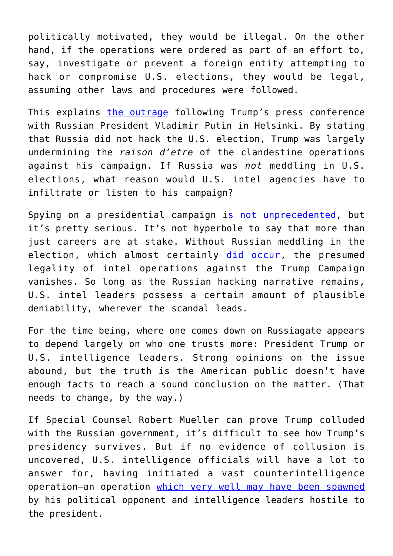politically motivated, they would be illegal. On the other hand, if the operations were ordered as part of an effort to, say, investigate or prevent a foreign entity attempting to hack or compromise U.S. elections, they would be legal, assuming other laws and procedures were followed.

This explains [the outrage](https://www.nytimes.com/2018/07/16/us/politics/us-intel-community-reacts-with-fury-to-trumps-rebuke.html) following Trump's press conference with Russian President Vladimir Putin in Helsinki. By stating that Russia did not hack the U.S. election, Trump was largely undermining the *raison d'etre* of the clandestine operations against his campaign. If Russia was *not* meddling in U.S. elections, what reason would U.S. intel agencies have to infiltrate or listen to his campaign?

Spying on a presidential campaign i[s not unprecedented](https://www.politico.com/magazine/story/2018/05/22/cia-fbi-spy-presidential-campaign-trump-goldwater-218415), but it's pretty serious. It's not hyperbole to say that more than just careers are at stake. Without Russian meddling in the election, which almost certainly [did occur](https://www.usatoday.com/story/news/politics/2018/07/16/dan-coats-counters-donald-trump-russian-meddling-2016-election/789436002/), the presumed legality of intel operations against the Trump Campaign vanishes. So long as the Russian hacking narrative remains, U.S. intel leaders possess a certain amount of plausible deniability, wherever the scandal leads.

For the time being, where one comes down on Russiagate appears to depend largely on who one trusts more: President Trump or U.S. intelligence leaders. Strong opinions on the issue abound, but the truth is the American public doesn't have enough facts to reach a sound conclusion on the matter. (That needs to change, by the way.)

If Special Counsel Robert Mueller can prove Trump colluded with the Russian government, it's difficult to see how Trump's presidency survives. But if no evidence of collusion is uncovered, U.S. intelligence officials will have a lot to answer for, having initiated a vast counterintelligence operation—an operation [which very well may have been spawned](https://www.washingtonpost.com/world/national-security/clinton-campaign-dnc-paid-for-research-that-led-to-russia-dossier/2017/10/24/226fabf0-b8e4-11e7-a908-a3470754bbb9_story.html) by his political opponent and intelligence leaders hostile to the president.